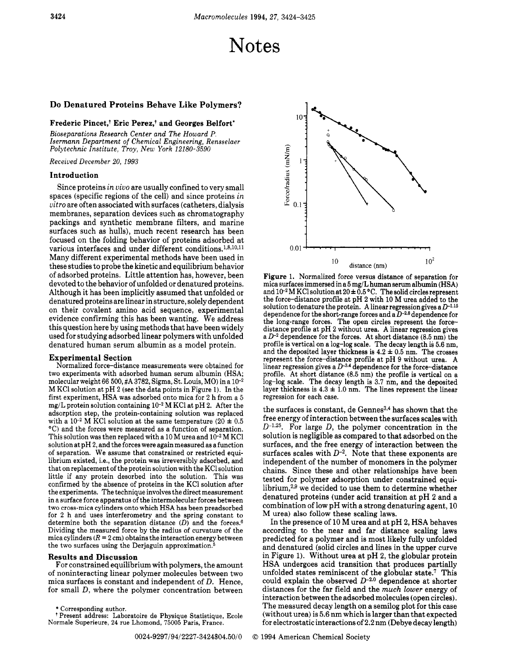# Notes

## Do Denatured Proteins Behave Like Polymers?

### Frederic Pincet.<sup>†</sup> Eric Perez.<sup>†</sup> and Georges Belfort<sup>\*</sup>

*Bioseparations Research Center and The Howard P. Isermann Department of Chemical Engineering, Rensselaer Polytechnic Institute, Troy, New York 12180-3590* 

*Received December 20, 1993* 

#### Introduction

Since proteins *in vivo* are usually confined to very small spaces (specific regions of the cell) and since proteins *in vitro* are often associated with surfaces (catheters, dialysis membranes, separation devices such as chromatography packings and synthetic membrane filters, and marine surfaces such as hulls), much recent research has been focused on the folding behavior of proteins adsorbed at various interfaces and under different conditions.<sup>1,8,10,11</sup> Many different experimental methods have been used in these studies to probe the kinetic and equilibrium behavior of adsorbed proteins. Little attention has, however, been devoted to the behavior of unfolded or denatured proteins. Although it has been implicitly assumed that unfolded or denatured proteins are linear in structure, solely dependent on their covalent amino acid sequence, experimental evidence confirming this has been wanting. We address this question here by using methods that have been widely used for studying adsorbed linear polymers with unfolded denatured human serum albumin as a model protein.

**Experimental Section**<br>Normalized force-distance measurements were obtained for two experiments with adsorbed human serum albumin (HSA; molecular weight 66 500, #A **3782,** Sigma, St. Louis, MO) in a M KC1 solution at pH **2** (see the data points in Figure 1). In the first experiment, HSA was adsorbed onto mica for **2** h from a **5**  mg/L protein solution containing **M** KC1 at pH **2.** After the adsorption step, the protein-containing solution was replaced with a  $10^{-2}$  M KCl solution at the same temperature  $(20 \pm 0.5)$ "C) and the forces were measured as a function of separation. This solution was then replaced with a 10 M urea and  $10^{-2}$  M KCl solution at pH **2,** and the forces were again measured as a function of separation. We assume that constrained or restricted equilibrium existed, i.e., the protein was irreversibly adsorbed, and that on replacement of the protein solution with the KC1 solution little if any protein desorbed into the solution. This was confirmed by the absence of proteins in the KCl solution after the experiments. The technique involves the direct measurement in a surface force apparatus of the intermolecular forces between two cross-mica cylinders onto which **HSA** has been preadsorbed for **2** h and uses interferometry and the spring constant to determine both the separation distance *(D)* and the forces.6 Dividing the measured force by the radius of curvature of the mica cylinders  $(R = 2 \text{ cm})$  obtains the interaction energy between the two surfaces using the Derjaguin approximation.<sup>4</sup>

#### Results and Discussion

For constrained equilibrium with polymers, the amount of noninteracting linear polymer molecules between two mica surfaces is constant and independent of *D.* Hence, for small *D,* where the polymer concentration between

\* Corresponding author.<br>† Present address: Laboratoire de Physique Statistique, Ecole Normale Superieure, **24** rue Lhomond, 75005 Paris, France.



Figure 1. Normalized force versus distance of separation for mica surfaces immersed in a 5 mg/L human serum albumin (HSA) and  $10^{-2}$  M KCl solution at  $20 \pm 0.5$  °C. The solid circles represent the force-distance profile at pH 2 with 10 M urea added to the solution to denature the protein. A linear regression gives a  $D^{-1.15}$ dependence for the short-range forces and a  $D^{-2.8}$  dependence for the long-range forces. The open circles represent the forcedistance profile at pH **2** without urea. A linear regression gives a *D-2* dependence for the forces. At short distance (8.5 nm) the profile is vertical on a log-log scale. The decay length is 5.6 nm, and the deposited layer thickness is  $4.2 \pm 0.5$  nm. The crosses represent the force-distance profile at pH **9** without urea. A linear regression gives a **D-3.4** dependence for the force-distance profile. At short distance **(8.5** nm) the profile is vertical on a log-log scale. The decay length is  $3.7 \text{ nm}$ , and the deposited layer thickness is  $4.3 \pm 1.0 \text{ nm}$ . The lines represent the linear regression for each case.

the surfaces is constant, de Gennes<sup>3,4</sup> has shown that the free energy of interaction between the surfaces scales with  $D^{-1.25}$ . For large D, the polymer concentration in the solution is negligible as compared to that adsorbed on the surfaces, and the free energy of interaction between the surfaces scales with  $D^{-2}$ . Note that these exponents are independent of the number of monomers in the polymer chains. Since these and other relationships have been tested for polymer adsorption under constrained equilibrium, $2.9$  we decided to use them to determine whether denatured proteins (under acid transition at pH **2** and a combination of low pH with a strong denaturing agent, 10 M urea) also follow these scaling laws.

In the presence of 10 **M** urea and at pH **2,** HSA behaves according to the near and far distance scaling laws predicted for a polymer and is most likely fully unfolded and denatured (solid circles and lines in the upper curve in Figure 1). Without urea at pH **2,** the globular protein **HSA** undergoes acid transition that produces partially unfolded states reminiscent of the globular state.' This could explain the observed *D-2.0* dependence at shorter distances for the far field and the *much lower* energy of interaction between the adsorbed molecules (open circles). The measured decay length on a semilog plot for this case (without urea) is **5.6** nm which is larger than that expected for electrostatic interactions of 2.2 nm (Debye decay length)